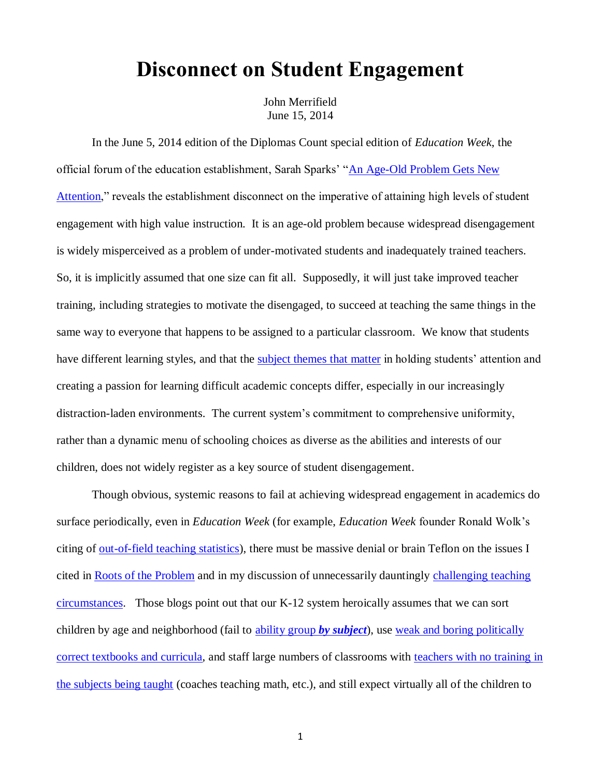## **Disconnect on Student Engagement**

John Merrifield June 15, 2014

In the June 5, 2014 edition of the Diplomas Count special edition of *Education Week*, the official forum of the education establishment, Sarah Sparks' ["An Age-Old Problem Gets New](http://www.edweek.org/ew/articles/2014/06/05/34overview.h33.html?intc=EW-DPCT14-TOC)  [Attention,](http://www.edweek.org/ew/articles/2014/06/05/34overview.h33.html?intc=EW-DPCT14-TOC)" reveals the establishment disconnect on the imperative of attaining high levels of student engagement with high value instruction. It is an age-old problem because widespread disengagement is widely misperceived as a problem of under-motivated students and inadequately trained teachers. So, it is implicitly assumed that one size can fit all. Supposedly, it will just take improved teacher training, including strategies to motivate the disengaged, to succeed at teaching the same things in the same way to everyone that happens to be assigned to a particular classroom. We know that students have different learning styles, and that the [subject themes that matter](http://www.schoolsystemreformstudies.net/wp-content/uploads/2016/11/Specialized-Schooling-Through-Price-Signals-Sports-Theme-Example.pdf) in holding students' attention and creating a passion for learning difficult academic concepts differ, especially in our increasingly distraction-laden environments. The current system's commitment to comprehensive uniformity, rather than a dynamic menu of schooling choices as diverse as the abilities and interests of our children, does not widely register as a key source of student disengagement.

Though obvious, systemic reasons to fail at achieving widespread engagement in academics do surface periodically, even in *Education Week* (for example, *Education Week* founder Ronald Wolk's citing of <u>out-of-field teaching statistics</u>), there must be massive denial or brain Teflon on the issues I cited in [Roots of the Problem](Classroom-Level%20Roots%20of%20the%20Problem%20.pdf) and in my discussion of unnecessarily dauntingly challenging teaching [circumstances.](http://www.schoolsystemreformstudies.net/wp-content/uploads/2016/10/How-to-Improve-Instruction.pdf) Those blogs point out that our K-12 system heroically assumes that we can sort children by age and neighborhood (fail to [ability group](http://www.schoolsystemreformstudies.net/wp-content/uploads/2016/11/Ability-Grouping.pdf) *by subject*), use [weak and boring politically](http://www.edexcellence.net/publications/madmadworld.html)  [correct textbooks and curricula,](http://www.edexcellence.net/publications/madmadworld.html) and staff large numbers of classrooms with [teachers with no training in](http://www.edweek.org/ew/articles/2012/12/05/13wolk_ep.h32.html)  [the subjects being taught](http://www.edweek.org/ew/articles/2012/12/05/13wolk_ep.h32.html) (coaches teaching math, etc.), and still expect virtually all of the children to

1